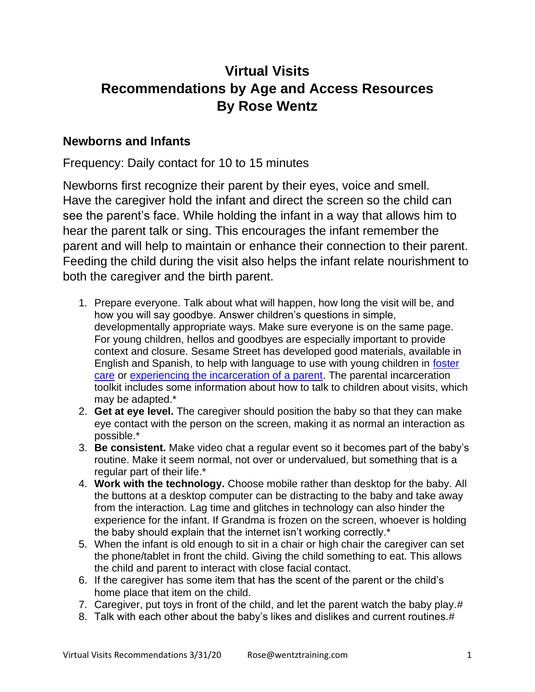# **Virtual Visits Recommendations by Age and Access Resources By Rose Wentz**

## **Newborns and Infants**

Frequency: Daily contact for 10 to 15 minutes

Newborns first recognize their parent by their eyes, voice and smell. Have the caregiver hold the infant and direct the screen so the child can see the parent's face. While holding the infant in a way that allows him to hear the parent talk or sing. This encourages the infant remember the parent and will help to maintain or enhance their connection to their parent. Feeding the child during the visit also helps the infant relate nourishment to both the caregiver and the birth parent.

- 1. Prepare everyone. Talk about what will happen, how long the visit will be, and how you will say goodbye. Answer children's questions in simple, developmentally appropriate ways. Make sure everyone is on the same page. For young children, hellos and goodbyes are especially important to provide context and closure. Sesame Street has developed good materials, available in English and Spanish, to help with language to use with young children in [foster](https://sesamestreetincommunities.org/topics/foster-care/)  [care](https://sesamestreetincommunities.org/topics/foster-care/) or [experiencing the incarceration of a parent.](https://sesamestreetincommunities.org/topics/incarceration/) The parental incarceration toolkit includes some information about how to talk to children about visits, which may be adapted.\*
- 2. **Get at eye level.** The caregiver should position the baby so that they can make eye contact with the person on the screen, making it as normal an interaction as possible.\*
- 3. **Be consistent.** Make video chat a regular event so it becomes part of the baby's routine. Make it seem normal, not over or undervalued, but something that is a regular part of their life.\*
- 4. **Work with the technology.** Choose mobile rather than desktop for the baby. All the buttons at a desktop computer can be distracting to the baby and take away from the interaction. Lag time and glitches in technology can also hinder the experience for the infant. If Grandma is frozen on the screen, whoever is holding the baby should explain that the internet isn't working correctly.\*
- 5. When the infant is old enough to sit in a chair or high chair the caregiver can set the phone/tablet in front the child. Giving the child something to eat. This allows the child and parent to interact with close facial contact.
- 6. If the caregiver has some item that has the scent of the parent or the child's home place that item on the child.
- 7. Caregiver, put toys in front of the child, and let the parent watch the baby play.#
- 8. Talk with each other about the baby's likes and dislikes and current routines.#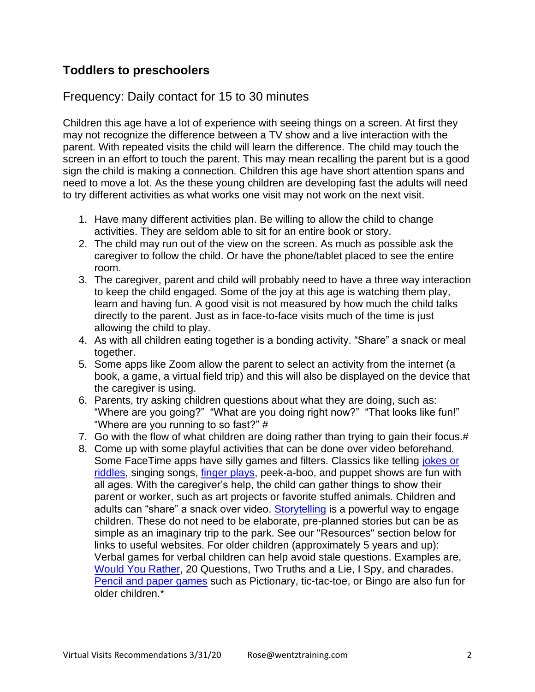## **Toddlers to preschoolers**

### Frequency: Daily contact for 15 to 30 minutes

Children this age have a lot of experience with seeing things on a screen. At first they may not recognize the difference between a TV show and a live interaction with the parent. With repeated visits the child will learn the difference. The child may touch the screen in an effort to touch the parent. This may mean recalling the parent but is a good sign the child is making a connection. Children this age have short attention spans and need to move a lot. As the these young children are developing fast the adults will need to try different activities as what works one visit may not work on the next visit.

- 1. Have many different activities plan. Be willing to allow the child to change activities. They are seldom able to sit for an entire book or story.
- 2. The child may run out of the view on the screen. As much as possible ask the caregiver to follow the child. Or have the phone/tablet placed to see the entire room.
- 3. The caregiver, parent and child will probably need to have a three way interaction to keep the child engaged. Some of the joy at this age is watching them play, learn and having fun. A good visit is not measured by how much the child talks directly to the parent. Just as in face-to-face visits much of the time is just allowing the child to play.
- 4. As with all children eating together is a bonding activity. "Share" a snack or meal together.
- 5. Some apps like Zoom allow the parent to select an activity from the internet (a book, a game, a virtual field trip) and this will also be displayed on the device that the caregiver is using.
- 6. Parents, try asking children questions about what they are doing, such as: "Where are you going?" "What are you doing right now?" "That looks like fun!" "Where are you running to so fast?" #
- 7. Go with the flow of what children are doing rather than trying to gain their focus.#
- 8. Come up with some playful activities that can be done over video beforehand. Some FaceTime apps have silly games and filters. Classics like telling [jokes or](https://www.funology.com/funology-jokes-and-riddles/)  [riddles,](https://www.funology.com/funology-jokes-and-riddles/) singing songs, *finger plays*, peek-a-boo, and puppet shows are fun with all ages. With the caregiver's help, the child can gather things to show their parent or worker, such as art projects or favorite stuffed animals. Children and adults can "share" a snack over video. [Storytelling](https://www.naeyc.org/our-work/families/everyone-can-be-storyteller) is a powerful way to engage children. These do not need to be elaborate, pre-planned stories but can be as simple as an imaginary trip to the park. See our "Resources" section below for links to useful websites. For older children (approximately 5 years and up): Verbal games for verbal children can help avoid stale questions. Examples are, [Would You Rather,](https://lifehacks.io/would-you-rather-for-kids/) 20 Questions, Two Truths and a Lie, I Spy, and charades. [Pencil and paper games](http://www.papg.com/) such as Pictionary, tic-tac-toe, or Bingo are also fun for older children.\*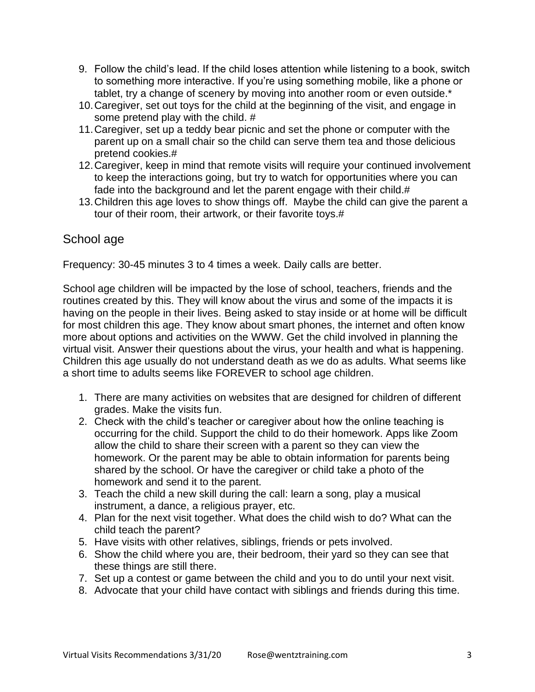- 9. Follow the child's lead. If the child loses attention while listening to a book, switch to something more interactive. If you're using something mobile, like a phone or tablet, try a change of scenery by moving into another room or even outside.\*
- 10.Caregiver, set out toys for the child at the beginning of the visit, and engage in some pretend play with the child. #
- 11.Caregiver, set up a teddy bear picnic and set the phone or computer with the parent up on a small chair so the child can serve them tea and those delicious pretend cookies.#
- 12.Caregiver, keep in mind that remote visits will require your continued involvement to keep the interactions going, but try to watch for opportunities where you can fade into the background and let the parent engage with their child.#
- 13.Children this age loves to show things off. Maybe the child can give the parent a tour of their room, their artwork, or their favorite toys.#

## School age

Frequency: 30-45 minutes 3 to 4 times a week. Daily calls are better.

School age children will be impacted by the lose of school, teachers, friends and the routines created by this. They will know about the virus and some of the impacts it is having on the people in their lives. Being asked to stay inside or at home will be difficult for most children this age. They know about smart phones, the internet and often know more about options and activities on the WWW. Get the child involved in planning the virtual visit. Answer their questions about the virus, your health and what is happening. Children this age usually do not understand death as we do as adults. What seems like a short time to adults seems like FOREVER to school age children.

- 1. There are many activities on websites that are designed for children of different grades. Make the visits fun.
- 2. Check with the child's teacher or caregiver about how the online teaching is occurring for the child. Support the child to do their homework. Apps like Zoom allow the child to share their screen with a parent so they can view the homework. Or the parent may be able to obtain information for parents being shared by the school. Or have the caregiver or child take a photo of the homework and send it to the parent.
- 3. Teach the child a new skill during the call: learn a song, play a musical instrument, a dance, a religious prayer, etc.
- 4. Plan for the next visit together. What does the child wish to do? What can the child teach the parent?
- 5. Have visits with other relatives, siblings, friends or pets involved.
- 6. Show the child where you are, their bedroom, their yard so they can see that these things are still there.
- 7. Set up a contest or game between the child and you to do until your next visit.
- 8. Advocate that your child have contact with siblings and friends during this time.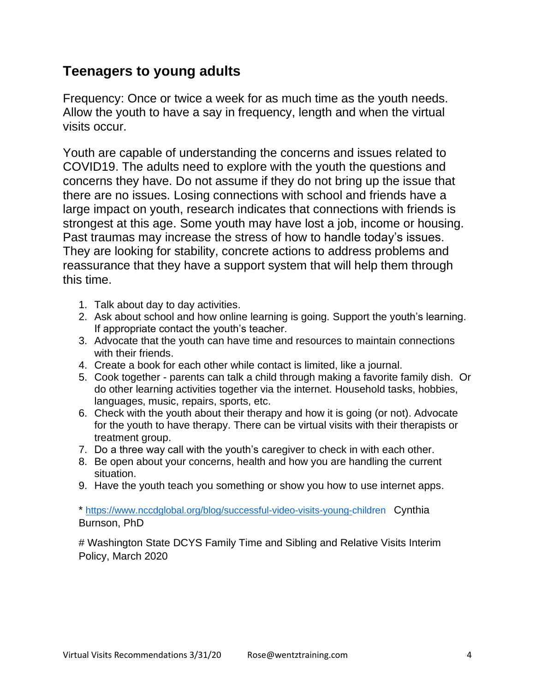# **Teenagers to young adults**

Frequency: Once or twice a week for as much time as the youth needs. Allow the youth to have a say in frequency, length and when the virtual visits occur.

Youth are capable of understanding the concerns and issues related to COVID19. The adults need to explore with the youth the questions and concerns they have. Do not assume if they do not bring up the issue that there are no issues. Losing connections with school and friends have a large impact on youth, research indicates that connections with friends is strongest at this age. Some youth may have lost a job, income or housing. Past traumas may increase the stress of how to handle today's issues. They are looking for stability, concrete actions to address problems and reassurance that they have a support system that will help them through this time.

- 1. Talk about day to day activities.
- 2. Ask about school and how online learning is going. Support the youth's learning. If appropriate contact the youth's teacher.
- 3. Advocate that the youth can have time and resources to maintain connections with their friends.
- 4. Create a book for each other while contact is limited, like a journal.
- 5. Cook together parents can talk a child through making a favorite family dish. Or do other learning activities together via the internet. Household tasks, hobbies, languages, music, repairs, sports, etc.
- 6. Check with the youth about their therapy and how it is going (or not). Advocate for the youth to have therapy. There can be virtual visits with their therapists or treatment group.
- 7. Do a three way call with the youth's caregiver to check in with each other.
- 8. Be open about your concerns, health and how you are handling the current situation.
- 9. Have the youth teach you something or show you how to use internet apps.

\* <https://www.nccdglobal.org/blog/successful-video-visits-young-children>Cynthia Burnson, PhD

# Washington State DCYS Family Time and Sibling and Relative Visits Interim Policy, March 2020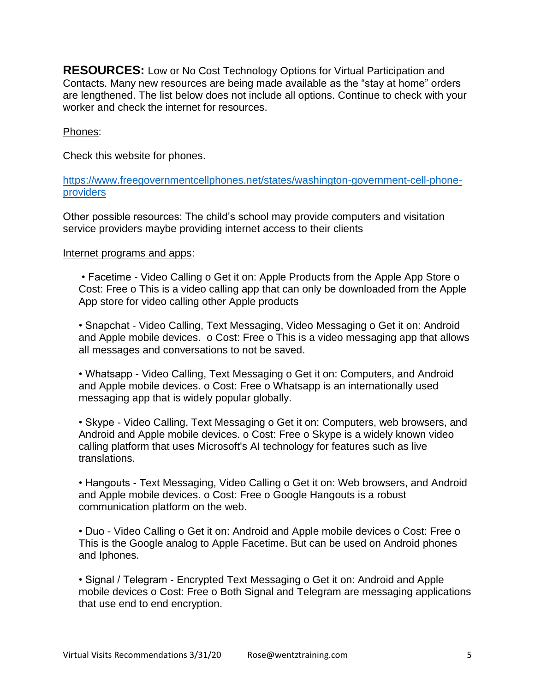**RESOURCES:** Low or No Cost Technology Options for Virtual Participation and Contacts. Many new resources are being made available as the "stay at home" orders are lengthened. The list below does not include all options. Continue to check with your worker and check the internet for resources.

#### Phones:

Check this website for phones.

[https://www.freegovernmentcellphones.net/states/washington-government-cell-phone](https://www.freegovernmentcellphones.net/states/washington-government-cell-phone-providers)[providers](https://www.freegovernmentcellphones.net/states/washington-government-cell-phone-providers)

Other possible resources: The child's school may provide computers and visitation service providers maybe providing internet access to their clients

#### Internet programs and apps:

• Facetime - Video Calling o Get it on: Apple Products from the Apple App Store o Cost: Free o This is a video calling app that can only be downloaded from the Apple App store for video calling other Apple products

• Snapchat - Video Calling, Text Messaging, Video Messaging o Get it on: Android and Apple mobile devices. o Cost: Free o This is a video messaging app that allows all messages and conversations to not be saved.

• Whatsapp - Video Calling, Text Messaging o Get it on: Computers, and Android and Apple mobile devices. o Cost: Free o Whatsapp is an internationally used messaging app that is widely popular globally.

• Skype - Video Calling, Text Messaging o Get it on: Computers, web browsers, and Android and Apple mobile devices. o Cost: Free o Skype is a widely known video calling platform that uses Microsoft's AI technology for features such as live translations.

• Hangouts - Text Messaging, Video Calling o Get it on: Web browsers, and Android and Apple mobile devices. o Cost: Free o Google Hangouts is a robust communication platform on the web.

• Duo - Video Calling o Get it on: Android and Apple mobile devices o Cost: Free o This is the Google analog to Apple Facetime. But can be used on Android phones and Iphones.

• Signal / Telegram - Encrypted Text Messaging o Get it on: Android and Apple mobile devices o Cost: Free o Both Signal and Telegram are messaging applications that use end to end encryption.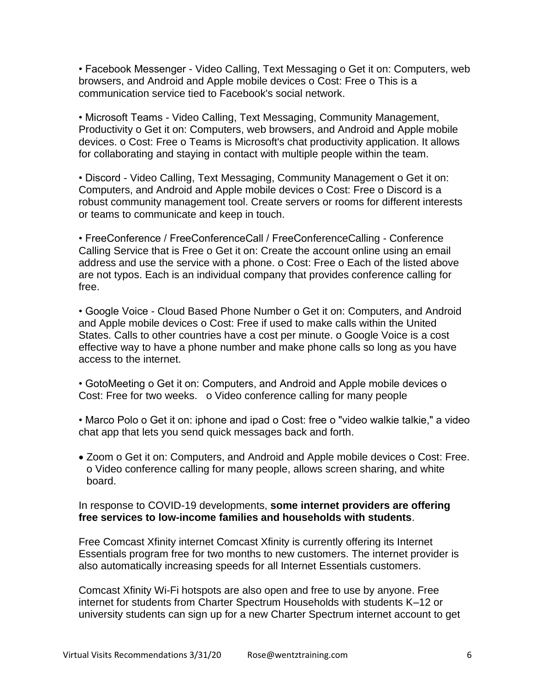• Facebook Messenger - Video Calling, Text Messaging o Get it on: Computers, web browsers, and Android and Apple mobile devices o Cost: Free o This is a communication service tied to Facebook's social network.

• Microsoft Teams - Video Calling, Text Messaging, Community Management, Productivity o Get it on: Computers, web browsers, and Android and Apple mobile devices. o Cost: Free o Teams is Microsoft's chat productivity application. It allows for collaborating and staying in contact with multiple people within the team.

• Discord - Video Calling, Text Messaging, Community Management o Get it on: Computers, and Android and Apple mobile devices o Cost: Free o Discord is a robust community management tool. Create servers or rooms for different interests or teams to communicate and keep in touch.

• FreeConference / FreeConferenceCall / FreeConferenceCalling - Conference Calling Service that is Free o Get it on: Create the account online using an email address and use the service with a phone. o Cost: Free o Each of the listed above are not typos. Each is an individual company that provides conference calling for free.

• Google Voice - Cloud Based Phone Number o Get it on: Computers, and Android and Apple mobile devices o Cost: Free if used to make calls within the United States. Calls to other countries have a cost per minute. o Google Voice is a cost effective way to have a phone number and make phone calls so long as you have access to the internet.

• GotoMeeting o Get it on: Computers, and Android and Apple mobile devices o Cost: Free for two weeks. o Video conference calling for many people

• Marco Polo o Get it on: iphone and ipad o Cost: free o "video walkie talkie," a video chat app that lets you send quick messages back and forth.

• Zoom o Get it on: Computers, and Android and Apple mobile devices o Cost: Free. o Video conference calling for many people, allows screen sharing, and white board.

### In response to COVID-19 developments, **some internet providers are offering free services to low-income families and households with students**.

Free Comcast Xfinity internet Comcast Xfinity is currently offering its Internet Essentials program free for two months to new customers. The internet provider is also automatically increasing speeds for all Internet Essentials customers.

Comcast Xfinity Wi-Fi hotspots are also open and free to use by anyone. Free internet for students from Charter Spectrum Households with students K–12 or university students can sign up for a new Charter Spectrum internet account to get